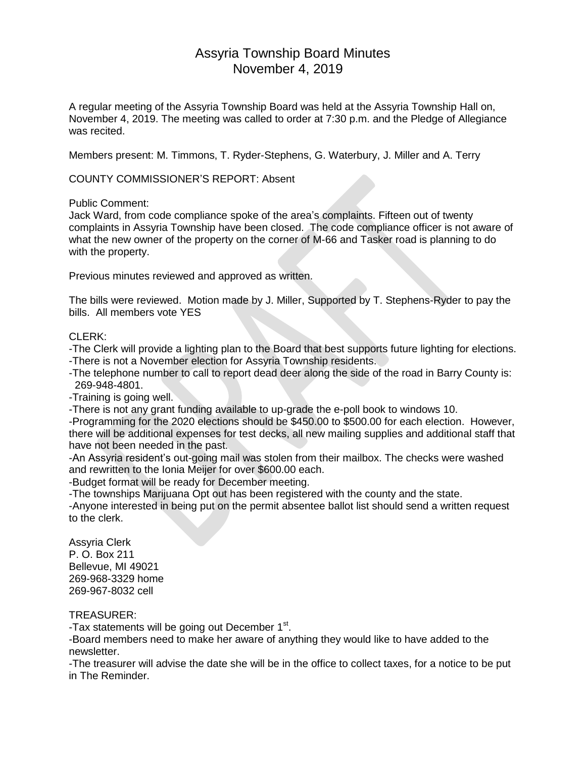# Assyria Township Board Minutes November 4, 2019

A regular meeting of the Assyria Township Board was held at the Assyria Township Hall on, November 4, 2019. The meeting was called to order at 7:30 p.m. and the Pledge of Allegiance was recited.

Members present: M. Timmons, T. Ryder-Stephens, G. Waterbury, J. Miller and A. Terry

COUNTY COMMISSIONER'S REPORT: Absent

Public Comment:

Jack Ward, from code compliance spoke of the area's complaints. Fifteen out of twenty complaints in Assyria Township have been closed. The code compliance officer is not aware of what the new owner of the property on the corner of M-66 and Tasker road is planning to do with the property.

Previous minutes reviewed and approved as written.

The bills were reviewed. Motion made by J. Miller, Supported by T. Stephens-Ryder to pay the bills. All members vote YES

# CLERK:

-The Clerk will provide a lighting plan to the Board that best supports future lighting for elections. -There is not a November election for Assyria Township residents.

-The telephone number to call to report dead deer along the side of the road in Barry County is: 269-948-4801.

-Training is going well.

-There is not any grant funding available to up-grade the e-poll book to windows 10.

-Programming for the 2020 elections should be \$450.00 to \$500.00 for each election. However, there will be additional expenses for test decks, all new mailing supplies and additional staff that have not been needed in the past.

-An Assyria resident's out-going mail was stolen from their mailbox. The checks were washed and rewritten to the Ionia Meijer for over \$600.00 each.

-Budget format will be ready for December meeting.

-The townships Marijuana Opt out has been registered with the county and the state.

-Anyone interested in being put on the permit absentee ballot list should send a written request to the clerk.

Assyria Clerk P. O. Box 211 Bellevue, MI 49021 269-968-3329 home 269-967-8032 cell

TREASURER:

-Tax statements will be going out December 1<sup>st</sup>.

-Board members need to make her aware of anything they would like to have added to the newsletter.

-The treasurer will advise the date she will be in the office to collect taxes, for a notice to be put in The Reminder.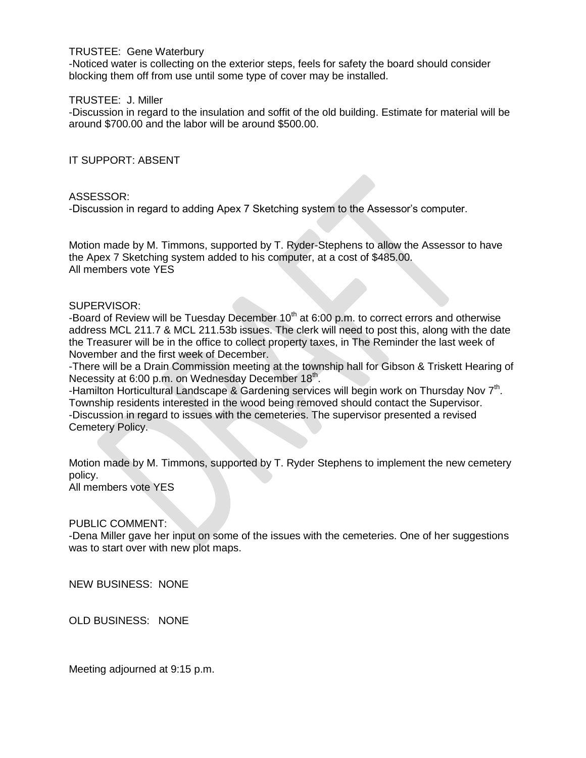## TRUSTEE: Gene Waterbury

-Noticed water is collecting on the exterior steps, feels for safety the board should consider blocking them off from use until some type of cover may be installed.

## TRUSTEE: J. Miller

-Discussion in regard to the insulation and soffit of the old building. Estimate for material will be around \$700.00 and the labor will be around \$500.00.

IT SUPPORT: ABSENT

## ASSESSOR:

-Discussion in regard to adding Apex 7 Sketching system to the Assessor's computer.

Motion made by M. Timmons, supported by T. Ryder-Stephens to allow the Assessor to have the Apex 7 Sketching system added to his computer, at a cost of \$485.00. All members vote YES

## SUPERVISOR:

-Board of Review will be Tuesday December  $10<sup>th</sup>$  at 6:00 p.m. to correct errors and otherwise address MCL 211.7 & MCL 211.53b issues. The clerk will need to post this, along with the date the Treasurer will be in the office to collect property taxes, in The Reminder the last week of November and the first week of December.

-There will be a Drain Commission meeting at the township hall for Gibson & Triskett Hearing of Necessity at 6:00 p.m. on Wednesday December 18<sup>th</sup>.

-Hamilton Horticultural Landscape & Gardening services will begin work on Thursday Nov  $7<sup>th</sup>$ . Township residents interested in the wood being removed should contact the Supervisor. -Discussion in regard to issues with the cemeteries. The supervisor presented a revised Cemetery Policy.

Motion made by M. Timmons, supported by T. Ryder Stephens to implement the new cemetery policy.

All members vote YES

# PUBLIC COMMENT:

-Dena Miller gave her input on some of the issues with the cemeteries. One of her suggestions was to start over with new plot maps.

NEW BUSINESS: NONE

OLD BUSINESS: NONE

Meeting adjourned at 9:15 p.m.